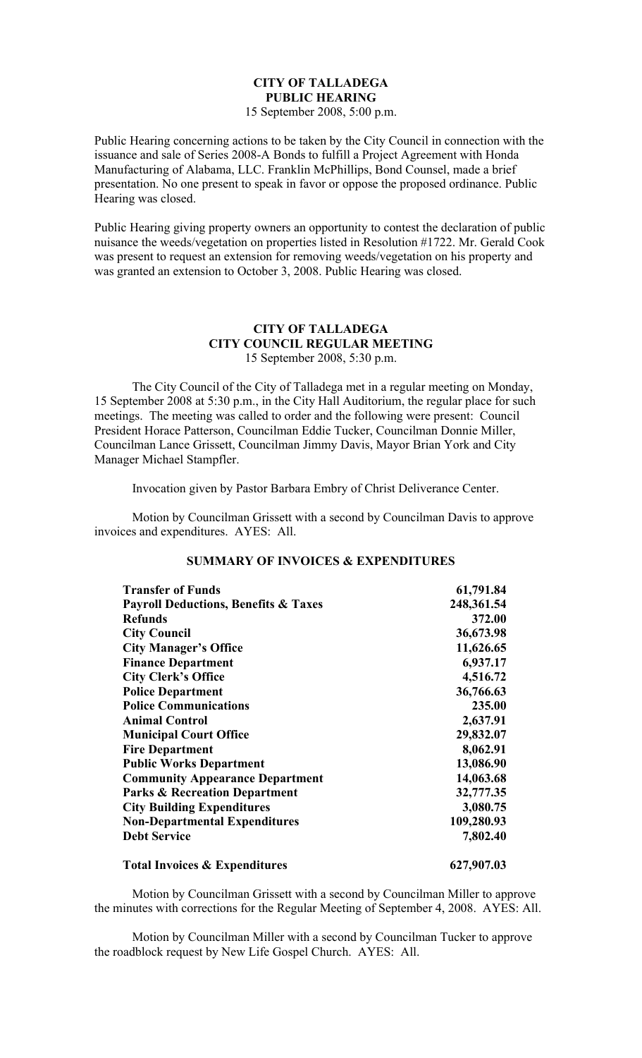# **CITY OF TALLADEGA PUBLIC HEARING**

15 September 2008, 5:00 p.m.

Public Hearing concerning actions to be taken by the City Council in connection with the issuance and sale of Series 2008-A Bonds to fulfill a Project Agreement with Honda Manufacturing of Alabama, LLC. Franklin McPhillips, Bond Counsel, made a brief presentation. No one present to speak in favor or oppose the proposed ordinance. Public Hearing was closed.

Public Hearing giving property owners an opportunity to contest the declaration of public nuisance the weeds/vegetation on properties listed in Resolution #1722. Mr. Gerald Cook was present to request an extension for removing weeds/vegetation on his property and was granted an extension to October 3, 2008. Public Hearing was closed.

### **CITY OF TALLADEGA CITY COUNCIL REGULAR MEETING** 15 September 2008, 5:30 p.m.

The City Council of the City of Talladega met in a regular meeting on Monday, 15 September 2008 at 5:30 p.m., in the City Hall Auditorium, the regular place for such meetings. The meeting was called to order and the following were present: Council President Horace Patterson, Councilman Eddie Tucker, Councilman Donnie Miller, Councilman Lance Grissett, Councilman Jimmy Davis, Mayor Brian York and City Manager Michael Stampfler.

Invocation given by Pastor Barbara Embry of Christ Deliverance Center.

Motion by Councilman Grissett with a second by Councilman Davis to approve invoices and expenditures. AYES: All.

| <b>Transfer of Funds</b>                        | 61,791.84  |
|-------------------------------------------------|------------|
| <b>Payroll Deductions, Benefits &amp; Taxes</b> | 248,361.54 |
| <b>Refunds</b>                                  | 372.00     |
| <b>City Council</b>                             | 36,673.98  |
| <b>City Manager's Office</b>                    | 11,626.65  |
| <b>Finance Department</b>                       | 6,937.17   |
| <b>City Clerk's Office</b>                      | 4,516.72   |
| <b>Police Department</b>                        | 36,766.63  |
| <b>Police Communications</b>                    | 235.00     |
| <b>Animal Control</b>                           | 2,637.91   |
| <b>Municipal Court Office</b>                   | 29,832.07  |
| <b>Fire Department</b>                          | 8,062.91   |
| <b>Public Works Department</b>                  | 13,086.90  |
| <b>Community Appearance Department</b>          | 14,063.68  |
| <b>Parks &amp; Recreation Department</b>        | 32,777.35  |
| <b>City Building Expenditures</b>               | 3,080.75   |
| <b>Non-Departmental Expenditures</b>            | 109,280.93 |
| <b>Debt Service</b>                             | 7,802.40   |
| <b>Total Invoices &amp; Expenditures</b>        | 627,907.03 |

# **SUMMARY OF INVOICES & EXPENDITURES**

Motion by Councilman Grissett with a second by Councilman Miller to approve the minutes with corrections for the Regular Meeting of September 4, 2008. AYES: All.

Motion by Councilman Miller with a second by Councilman Tucker to approve the roadblock request by New Life Gospel Church. AYES: All.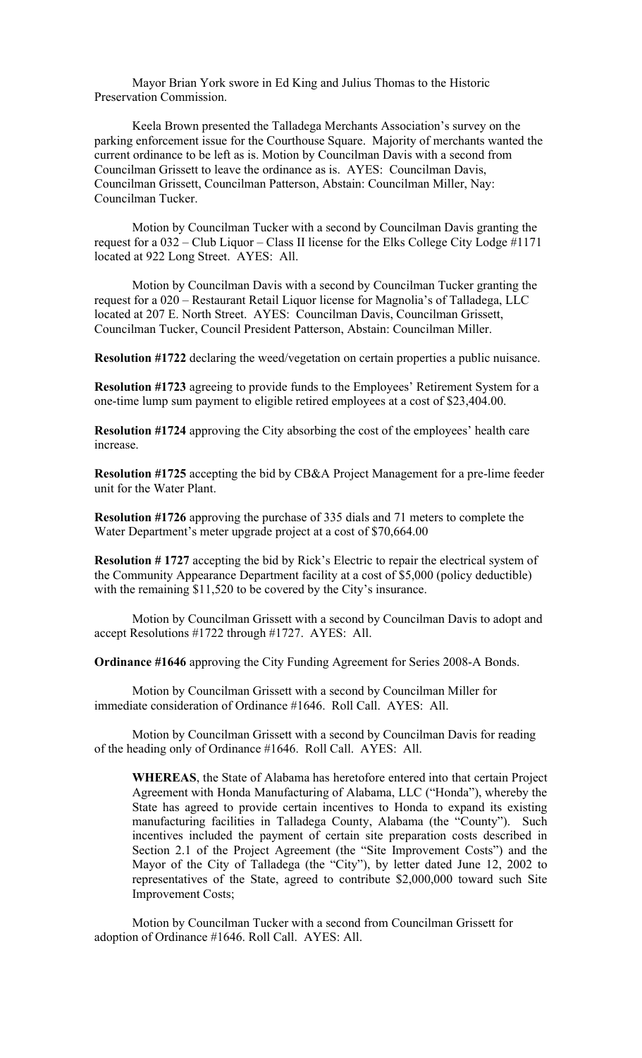Mayor Brian York swore in Ed King and Julius Thomas to the Historic Preservation Commission.

Keela Brown presented the Talladega Merchants Association's survey on the parking enforcement issue for the Courthouse Square. Majority of merchants wanted the current ordinance to be left as is. Motion by Councilman Davis with a second from Councilman Grissett to leave the ordinance as is. AYES: Councilman Davis, Councilman Grissett, Councilman Patterson, Abstain: Councilman Miller, Nay: Councilman Tucker.

Motion by Councilman Tucker with a second by Councilman Davis granting the request for a 032 – Club Liquor – Class II license for the Elks College City Lodge #1171 located at 922 Long Street. AYES: All.

Motion by Councilman Davis with a second by Councilman Tucker granting the request for a 020 – Restaurant Retail Liquor license for Magnolia's of Talladega, LLC located at 207 E. North Street. AYES: Councilman Davis, Councilman Grissett, Councilman Tucker, Council President Patterson, Abstain: Councilman Miller.

**Resolution #1722** declaring the weed/vegetation on certain properties a public nuisance.

**Resolution #1723** agreeing to provide funds to the Employees' Retirement System for a one-time lump sum payment to eligible retired employees at a cost of \$23,404.00.

**Resolution #1724** approving the City absorbing the cost of the employees' health care increase.

**Resolution #1725** accepting the bid by CB&A Project Management for a pre-lime feeder unit for the Water Plant.

**Resolution #1726** approving the purchase of 335 dials and 71 meters to complete the Water Department's meter upgrade project at a cost of \$70,664.00

**Resolution # 1727** accepting the bid by Rick's Electric to repair the electrical system of the Community Appearance Department facility at a cost of \$5,000 (policy deductible) with the remaining \$11,520 to be covered by the City's insurance.

Motion by Councilman Grissett with a second by Councilman Davis to adopt and accept Resolutions #1722 through #1727. AYES: All.

**Ordinance #1646** approving the City Funding Agreement for Series 2008-A Bonds.

Motion by Councilman Grissett with a second by Councilman Miller for immediate consideration of Ordinance #1646. Roll Call. AYES: All.

Motion by Councilman Grissett with a second by Councilman Davis for reading of the heading only of Ordinance #1646. Roll Call. AYES: All.

**WHEREAS**, the State of Alabama has heretofore entered into that certain Project Agreement with Honda Manufacturing of Alabama, LLC ("Honda"), whereby the State has agreed to provide certain incentives to Honda to expand its existing manufacturing facilities in Talladega County, Alabama (the "County"). Such incentives included the payment of certain site preparation costs described in Section 2.1 of the Project Agreement (the "Site Improvement Costs") and the Mayor of the City of Talladega (the "City"), by letter dated June 12, 2002 to representatives of the State, agreed to contribute \$2,000,000 toward such Site Improvement Costs;

Motion by Councilman Tucker with a second from Councilman Grissett for adoption of Ordinance #1646. Roll Call. AYES: All.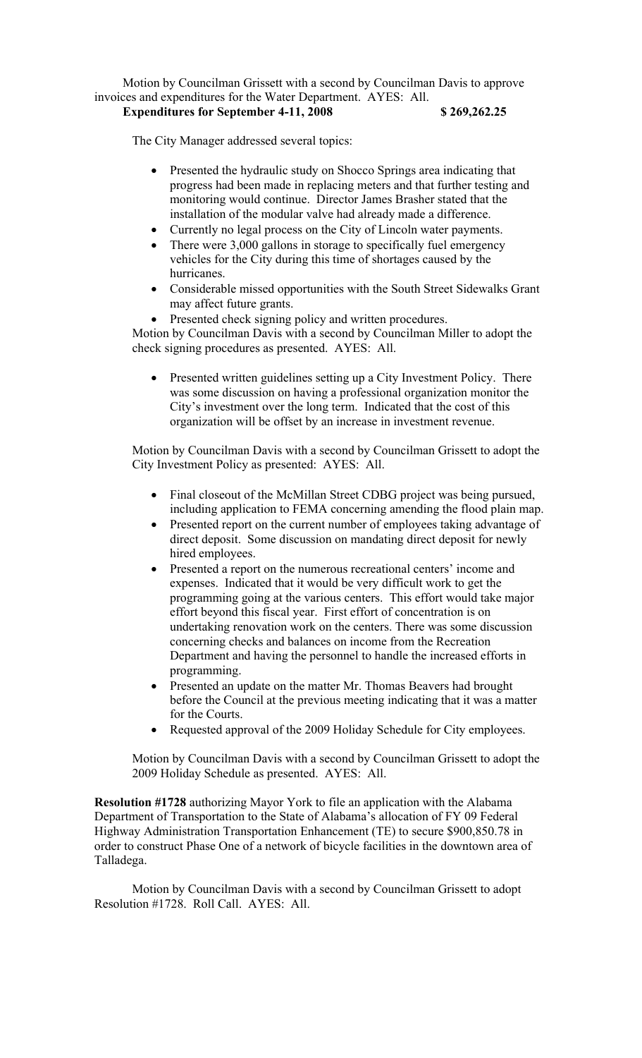Motion by Councilman Grissett with a second by Councilman Davis to approve invoices and expenditures for the Water Department. AYES: All. **Expenditures for September 4-11, 2008 \$ 269,262.25**

The City Manager addressed several topics:

- Presented the hydraulic study on Shocco Springs area indicating that progress had been made in replacing meters and that further testing and monitoring would continue. Director James Brasher stated that the installation of the modular valve had already made a difference.
- Currently no legal process on the City of Lincoln water payments.
- There were 3,000 gallons in storage to specifically fuel emergency vehicles for the City during this time of shortages caused by the hurricanes.
- Considerable missed opportunities with the South Street Sidewalks Grant may affect future grants.
- Presented check signing policy and written procedures.

Motion by Councilman Davis with a second by Councilman Miller to adopt the check signing procedures as presented. AYES: All.

 Presented written guidelines setting up a City Investment Policy. There was some discussion on having a professional organization monitor the City's investment over the long term. Indicated that the cost of this organization will be offset by an increase in investment revenue.

Motion by Councilman Davis with a second by Councilman Grissett to adopt the City Investment Policy as presented: AYES: All.

- Final closeout of the McMillan Street CDBG project was being pursued, including application to FEMA concerning amending the flood plain map.
- Presented report on the current number of employees taking advantage of direct deposit. Some discussion on mandating direct deposit for newly hired employees.
- Presented a report on the numerous recreational centers' income and expenses. Indicated that it would be very difficult work to get the programming going at the various centers. This effort would take major effort beyond this fiscal year. First effort of concentration is on undertaking renovation work on the centers. There was some discussion concerning checks and balances on income from the Recreation Department and having the personnel to handle the increased efforts in programming.
- Presented an update on the matter Mr. Thomas Beavers had brought before the Council at the previous meeting indicating that it was a matter for the Courts.
- Requested approval of the 2009 Holiday Schedule for City employees.

Motion by Councilman Davis with a second by Councilman Grissett to adopt the 2009 Holiday Schedule as presented. AYES: All.

**Resolution #1728** authorizing Mayor York to file an application with the Alabama Department of Transportation to the State of Alabama's allocation of FY 09 Federal Highway Administration Transportation Enhancement (TE) to secure \$900,850.78 in order to construct Phase One of a network of bicycle facilities in the downtown area of Talladega.

Motion by Councilman Davis with a second by Councilman Grissett to adopt Resolution #1728. Roll Call. AYES: All.